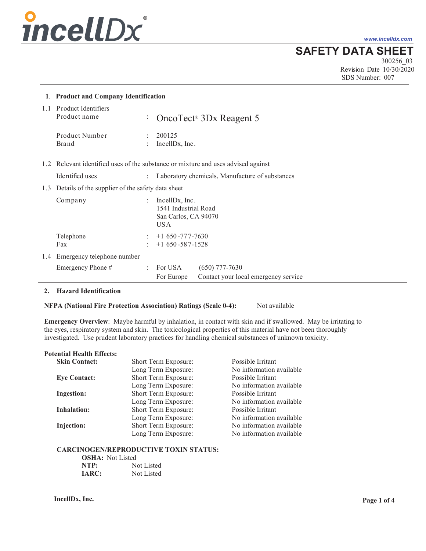# *incellDx*

*www.incelldx.com*

**SAFETY DATA SHEET**

300256\_03 Revision Date 10/30/2020 SDS Number: 007

|     | 1. Product and Company Identification                                             |                                   |                                                                        |                                                 |
|-----|-----------------------------------------------------------------------------------|-----------------------------------|------------------------------------------------------------------------|-------------------------------------------------|
|     | 1.1 Product Identifiers<br>Product name                                           | ÷                                 |                                                                        | OncoTect <sup>®</sup> 3Dx Reagent 5             |
|     | Product Number<br>Brand                                                           | ÷                                 | 200125<br>IncellDx, Inc.                                               |                                                 |
|     | 1.2 Relevant identified uses of the substance or mixture and uses advised against |                                   |                                                                        |                                                 |
|     | Identified uses                                                                   |                                   |                                                                        | Laboratory chemicals, Manufacture of substances |
|     | 1.3 Details of the supplier of the safety data sheet                              |                                   |                                                                        |                                                 |
|     | Company                                                                           | $\mathbf{r}$                      | IncellDx, Inc.<br>1541 Industrial Road<br>San Carlos, CA 94070<br>US A |                                                 |
|     | Telephone<br>Fax                                                                  | $\ddot{\phantom{a}}$<br>$\bullet$ | $+1650 - 777 - 7630$<br>$+1$ 650 - 587 - 1528                          |                                                 |
| 1.4 | Emergency telephone number                                                        |                                   |                                                                        |                                                 |
|     | Emergency Phone #                                                                 | $\ddot{\phantom{a}}$              | For USA                                                                | $(650)$ 777-7630                                |
|     |                                                                                   |                                   | For Europe                                                             | Contact your local emergency service            |

# **2. Hazard Identification**

**NFPA (National Fire Protection Association) Ratings (Scale 0-4):** Not available

**Emergency Overview**: Maybe harmful by inhalation, in contact with skin and if swallowed. May be irritating to the eyes, respiratory system and skin. The toxicological properties of this material have not been thoroughly investigated. Use prudent laboratory practices for handling chemical substances of unknown toxicity.

#### **Potential Health Effects:**

| <b>Skin Contact:</b> | Short Term Exposure: | Possible Irritant        |
|----------------------|----------------------|--------------------------|
|                      | Long Term Exposure:  | No information available |
| <b>Eye Contact:</b>  | Short Term Exposure: | Possible Irritant        |
|                      | Long Term Exposure:  | No information available |
| <b>Ingestion:</b>    | Short Term Exposure: | Possible Irritant        |
|                      | Long Term Exposure:  | No information available |
| <b>Inhalation:</b>   | Short Term Exposure: | Possible Irritant        |
|                      | Long Term Exposure:  | No information available |
| Injection:           | Short Term Exposure: | No information available |
|                      | Long Term Exposure:  | No information available |

#### **CARCINOGEN/REPRODUCTIVE TOXIN STATUS:**

| <b>OSHA</b> : Not Listed |            |
|--------------------------|------------|
| NTP:                     | Not Listed |
| <b>IARC:</b>             | Not Listed |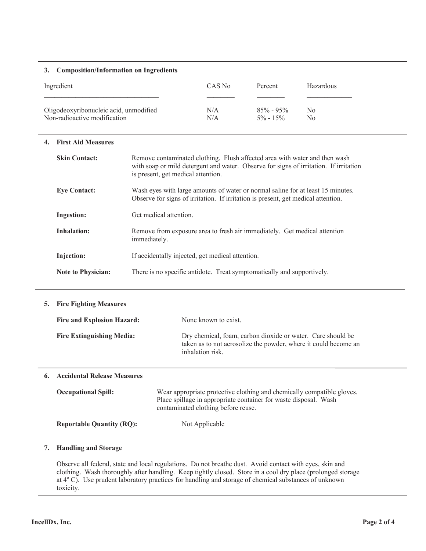## **3. Composition/Information on Ingredients**

| Ingredient                             | CAS No | Percent       | Hazardous |
|----------------------------------------|--------|---------------|-----------|
| Oligodeoxyribonucleic acid, unmodified | N/A    | $85\% - 95\%$ | No        |
| Non-radioactive modification           | N/A    | $5\% - 15\%$  | No        |

# **4. First Aid Measures**

| <b>Skin Contact:</b>      | Remove contaminated clothing. Flush affected area with water and then wash<br>with soap or mild detergent and water. Observe for signs of irritation. If irritation<br>is present, get medical attention. |  |
|---------------------------|-----------------------------------------------------------------------------------------------------------------------------------------------------------------------------------------------------------|--|
| <b>Eye Contact:</b>       | Wash eyes with large amounts of water or normal saline for at least 15 minutes.<br>Observe for signs of irritation. If irritation is present, get medical attention.                                      |  |
| <b>Ingestion:</b>         | Get medical attention.                                                                                                                                                                                    |  |
| Inhalation:               | Remove from exposure area to fresh air immediately. Get medical attention<br>immediately.                                                                                                                 |  |
| Injection:                | If accidentally injected, get medical attention.                                                                                                                                                          |  |
| <b>Note to Physician:</b> | There is no specific antidote. Treat symptomatically and supportively.                                                                                                                                    |  |

# **5. Fire Fighting Measures**

| <b>Fire and Explosion Hazard:</b> | None known to exist.                                                                                                                               |
|-----------------------------------|----------------------------------------------------------------------------------------------------------------------------------------------------|
| <b>Fire Extinguishing Media:</b>  | Dry chemical, foam, carbon dioxide or water. Care should be<br>taken as to not aerosolize the powder, where it could become an<br>inhalation risk. |

#### **6. Accidental Release Measures**

| <b>Occupational Spill:</b>       | Wear appropriate protective clothing and chemically compatible gloves.<br>Place spillage in appropriate container for waste disposal. Wash<br>contaminated clothing before reuse. |
|----------------------------------|-----------------------------------------------------------------------------------------------------------------------------------------------------------------------------------|
| <b>Reportable Quantity (RQ):</b> | Not Applicable                                                                                                                                                                    |

# **7. Handling and Storage**

Observe all federal, state and local regulations. Do not breathe dust. Avoid contact with eyes, skin and clothing. Wash thoroughly after handling. Keep tightly closed. Store in a cool dry place (prolonged storage at 4°C). Use prudent laboratory practices for handling and storage of chemical substances of unknown toxicity.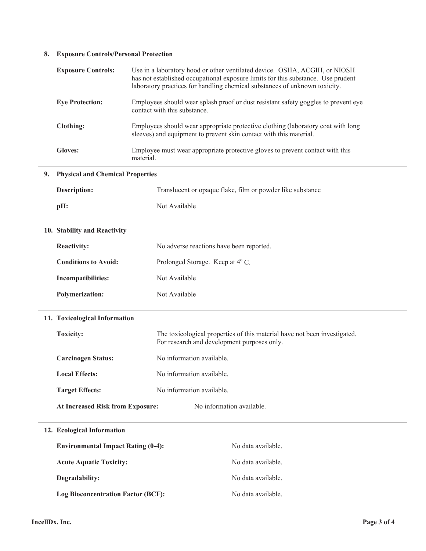# **8. Exposure Controls/Personal Protection**

|    | <b>Exposure Controls:</b>                 | Use in a laboratory hood or other ventilated device. OSHA, ACGIH, or NIOSH<br>has not established occupational exposure limits for this substance. Use prudent<br>laboratory practices for handling chemical substances of unknown toxicity. |  |  |
|----|-------------------------------------------|----------------------------------------------------------------------------------------------------------------------------------------------------------------------------------------------------------------------------------------------|--|--|
|    | <b>Eye Protection:</b>                    | Employees should wear splash proof or dust resistant safety goggles to prevent eye<br>contact with this substance.                                                                                                                           |  |  |
|    | <b>Clothing:</b>                          | Employees should wear appropriate protective clothing (laboratory coat with long<br>sleeves) and equipment to prevent skin contact with this material.                                                                                       |  |  |
|    | <b>Gloves:</b>                            | Employee must wear appropriate protective gloves to prevent contact with this<br>material.                                                                                                                                                   |  |  |
| 9. | <b>Physical and Chemical Properties</b>   |                                                                                                                                                                                                                                              |  |  |
|    | <b>Description:</b>                       | Translucent or opaque flake, film or powder like substance                                                                                                                                                                                   |  |  |
|    | pH:                                       | Not Available                                                                                                                                                                                                                                |  |  |
|    | 10. Stability and Reactivity              |                                                                                                                                                                                                                                              |  |  |
|    | <b>Reactivity:</b>                        | No adverse reactions have been reported.                                                                                                                                                                                                     |  |  |
|    | <b>Conditions to Avoid:</b>               | Prolonged Storage. Keep at 4° C.                                                                                                                                                                                                             |  |  |
|    | <b>Incompatibilities:</b>                 | Not Available                                                                                                                                                                                                                                |  |  |
|    | <b>Polymerization:</b>                    | Not Available                                                                                                                                                                                                                                |  |  |
|    | 11. Toxicological Information             |                                                                                                                                                                                                                                              |  |  |
|    | Toxicity:                                 | The toxicological properties of this material have not been investigated.<br>For research and development purposes only.                                                                                                                     |  |  |
|    | <b>Carcinogen Status:</b>                 | No information available.                                                                                                                                                                                                                    |  |  |
|    | <b>Local Effects:</b>                     | No information available.                                                                                                                                                                                                                    |  |  |
|    | <b>Target Effects:</b>                    | No information available.                                                                                                                                                                                                                    |  |  |
|    | <b>At Increased Risk from Exposure:</b>   | No information available.                                                                                                                                                                                                                    |  |  |
|    | 12. Ecological Information                |                                                                                                                                                                                                                                              |  |  |
|    | <b>Environmental Impact Rating (0-4):</b> | No data available.                                                                                                                                                                                                                           |  |  |
|    | <b>Acute Aquatic Toxicity:</b>            | No data available.                                                                                                                                                                                                                           |  |  |
|    | Degradability:                            | No data available.                                                                                                                                                                                                                           |  |  |
|    | <b>Log Bioconcentration Factor (BCF):</b> | No data available.                                                                                                                                                                                                                           |  |  |